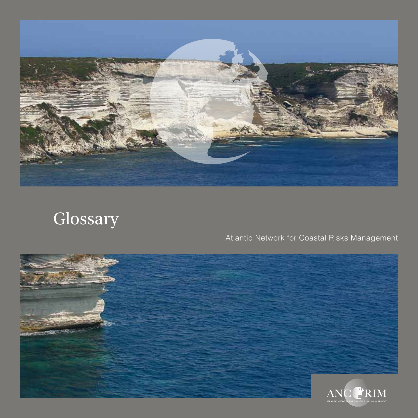

# Glossary

# Atlantic Network for Coastal Risks Management

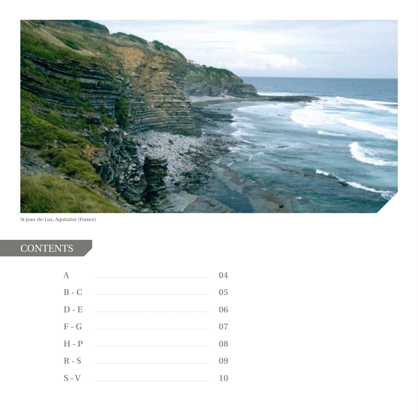

St jean-de-Luz, Aquitaine (France)

# **CONTENTS**

|         | 14 |
|---------|----|
| $B - C$ | 05 |
| $D - E$ | 06 |
| $F - G$ | 07 |
| $H - P$ | 08 |
| $R-S$   | 09 |
| $S - V$ |    |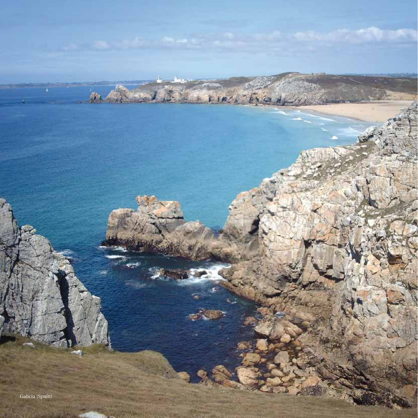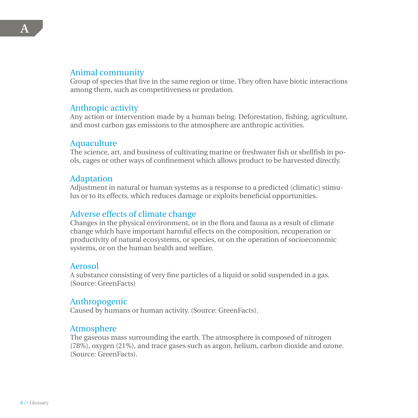### Animal community

Group of species that live in the same region or time. They often have biotic interactions among them, such as competitiveness or predation.

#### Anthropic activity

Any action or intervention made by a human being. Deforestation, fishing, agriculture, and most carbon gas emissions to the atmosphere are anthropic activities.

#### Aquaculture

The science, art, and business of cultivating marine or freshwater fish or shellfish in pools, cages or other ways of confinement which allows product to be harvested directly.

#### Adaptation

Adjustment in natural or human systems as a response to a predicted (climatic) stimulus or to its effects, which reduces damage or exploits beneficial opportunities.

#### Adverse effects of climate change

Changes in the physical environment, or in the flora and fauna as a result of climate change which have important harmful effects on the composition, recuperation or productivity of natural ecosystems, or species, or on the operation of socioeconomic systems, or on the human health and welfare.

#### Aerosol

A substance consisting of very fine particles of a liquid or solid suspended in a gas. (Source: GreenFacts)

#### Anthropogenic

Caused by humans or human activity. (Source: GreenFacts).

#### Atmosphere

The gaseous mass surrounding the earth. The atmosphere is composed of nitrogen (78%), oxygen (21%), and trace gases such as argon, helium, carbon dioxide and ozone. (Source: GreenFacts).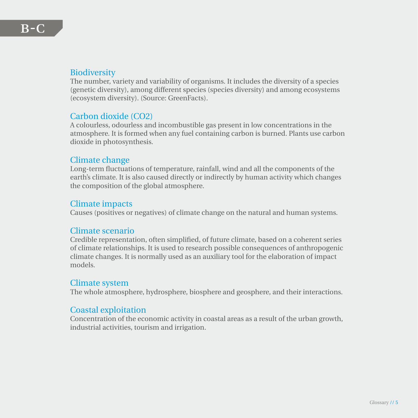The number, variety and variability of organisms. It includes the diversity of a species (genetic diversity), among different species (species diversity) and among ecosystems (ecosystem diversity). (Source: GreenFacts).

# Carbon dioxide (CO2)

A colourless, odourless and incombustible gas present in low concentrations in the atmosphere. It is formed when any fuel containing carbon is burned. Plants use carbon dioxide in photosynthesis.

# Climate change

Long-term fluctuations of temperature, rainfall, wind and all the components of the earth's climate. It is also caused directly or indirectly by human activity which changes the composition of the global atmosphere.

# Climate impacts

Causes (positives or negatives) of climate change on the natural and human systems.

#### Climate scenario

Credible representation, often simplified, of future climate, based on a coherent series of climate relationships. It is used to research possible consequences of anthropogenic climate changes. It is normally used as an auxiliary tool for the elaboration of impact models.

#### Climate system

The whole atmosphere, hydrosphere, biosphere and geosphere, and their interactions.

# Coastal exploitation

Concentration of the economic activity in coastal areas as a result of the urban growth, industrial activities, tourism and irrigation.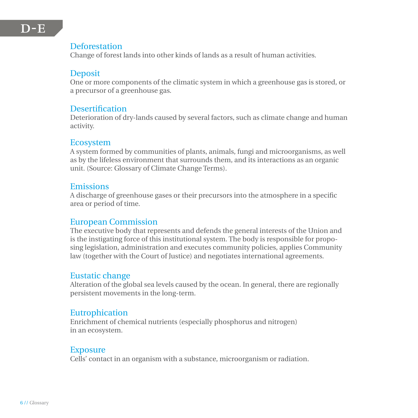### Deforestation

Change of forest lands into other kinds of lands as a result of human activities.

#### Deposit

One or more components of the climatic system in which a greenhouse gas is stored, or a precursor of a greenhouse gas.

#### **Desertification**

Deterioration of dry-lands caused by several factors, such as climate change and human activity.

#### Ecosystem

A system formed by communities of plants, animals, fungi and microorganisms, as well as by the lifeless environment that surrounds them, and its interactions as an organic unit. (Source: Glossary of Climate Change Terms).

#### Emissions

A discharge of greenhouse gases or their precursors into the atmosphere in a specific area or period of time.

# European Commission

The executive body that represents and defends the general interests of the Union and is the instigating force of this institutional system. The body is responsible for proposing legislation, administration and executes community policies, applies Community law (together with the Court of Justice) and negotiates international agreements.

#### Eustatic change

Alteration of the global sea levels caused by the ocean. In general, there are regionally persistent movements in the long-term.

#### Eutrophication

Enrichment of chemical nutrients (especially phosphorus and nitrogen) in an ecosystem.

#### **Exposure**

Cells' contact in an organism with a substance, microorganism or radiation.

# $D-F$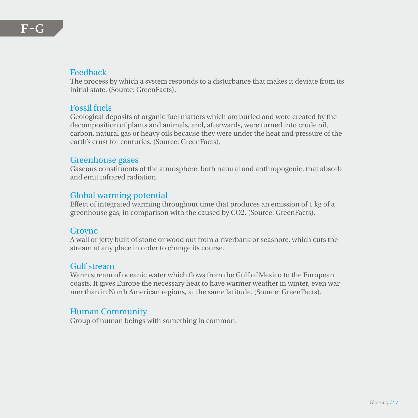#### Feedback

The process by which a system responds to a disturbance that makes it deviate from its initial state. (Source: GreenFacts).

#### Fossil fuels

Geological deposits of organic fuel matters which are buried and were created by the decomposition of plants and animals, and, afterwards, were turned into crude oil, carbon, natural gas or heavy oils because they were under the heat and pressure of the earth's crust for centuries. (Source: GreenFacts).

#### Greenhouse gases

Gaseous constituents of the atmosphere, both natural and anthropogenic, that absorb and emit infrared radiation.

# Global warming potential

Effect of integrated warming throughout time that produces an emission of 1 kg of a greenhouse gas, in comparison with the caused by CO2. (Source: GreenFacts).

#### **Groyne**

A wall or jetty built of stone or wood out from a riverbank or seashore, which cuts the stream at any place in order to change its course.

#### Gulf stream

Warm stream of oceanic water which flows from the Gulf of Mexico to the European coasts. It gives Europe the necessary heat to have warmer weather in winter, even warmer than in North American regions, at the same latitude. (Source: GreenFacts).

#### Human Community

Group of human beings with something in common.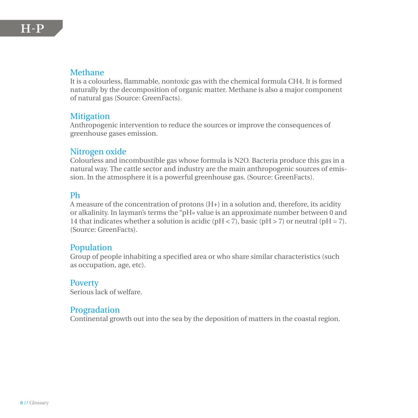#### Methane

It is a colourless, flammable, nontoxic gas with the chemical formula CH4. It is formed naturally by the decomposition of organic matter. Methane is also a major component of natural gas (Source: GreenFacts).

#### **Mitigation**

Anthropogenic intervention to reduce the sources or improve the consequences of greenhouse gases emission.

#### Nitrogen oxide

Colourless and incombustible gas whose formula is N2O. Bacteria produce this gas in a natural way. The cattle sector and industry are the main anthropogenic sources of emission. In the atmosphere it is a powerful greenhouse gas. (Source: GreenFacts).

#### Ph

A measure of the concentration of protons (H+) in a solution and, therefore, its acidity or alkalinity. In layman's terms the "pH» value is an approximate number between 0 and 14 that indicates whether a solution is acidic ( $pH < 7$ ), basic ( $pH > 7$ ) or neutral ( $pH = 7$ ). (Source: GreenFacts).

#### Population

Group of people inhabiting a specified area or who share similar characteristics (such as occupation, age, etc).

#### **Poverty**

Serious lack of welfare.

#### Progradation

Continental growth out into the sea by the deposition of matters in the coastal region.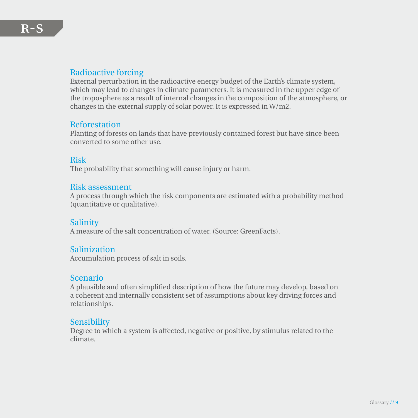#### Radioactive forcing

External perturbation in the radioactive energy budget of the Earth's climate system, which may lead to changes in climate parameters. It is measured in the upper edge of the troposphere as a result of internal changes in the composition of the atmosphere, or changes in the external supply of solar power. It is expressed in W/m2.

#### Reforestation

Planting of forests on lands that have previously contained forest but have since been converted to some other use.

#### Risk

The probability that something will cause injury or harm.

#### Risk assessment

A process through which the risk components are estimated with a probability method (quantitative or qualitative).

#### Salinity

A measure of the salt concentration of water. (Source: GreenFacts).

#### **Salinization**

Accumulation process of salt in soils.

#### Scenario

A plausible and often simplified description of how the future may develop, based on a coherent and internally consistent set of assumptions about key driving forces and relationships.

#### **Sensibility**

Degree to which a system is affected, negative or positive, by stimulus related to the climate.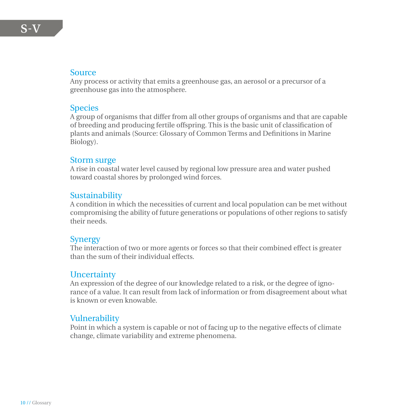#### Source

Any process or activity that emits a greenhouse gas, an aerosol or a precursor of a greenhouse gas into the atmosphere.

#### Species

A group of organisms that differ from all other groups of organisms and that are capable of breeding and producing fertile offspring. This is the basic unit of classification of plants and animals (Source: Glossary of Common Terms and Definitions in Marine Biology).

#### Storm surge

A rise in coastal water level caused by regional low pressure area and water pushed toward coastal shores by prolonged wind forces.

# Sustainability

A condition in which the necessities of current and local population can be met without compromising the ability of future generations or populations of other regions to satisfy their needs.

#### **Synergy**

The interaction of two or more agents or forces so that their combined effect is greater than the sum of their individual effects.

# **Uncertainty**

An expression of the degree of our knowledge related to a risk, or the degree of ignorance of a value. It can result from lack of information or from disagreement about what is known or even knowable.

# Vulnerability

Point in which a system is capable or not of facing up to the negative effects of climate change, climate variability and extreme phenomena.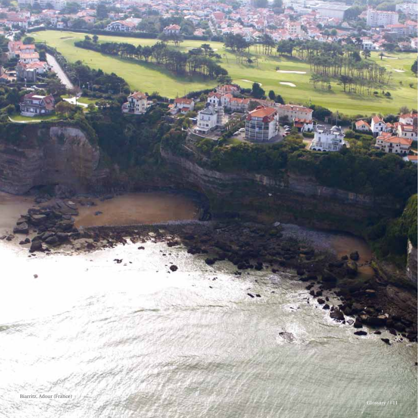

我们与小人

**A** 

**Provincial** 

**Tuna** 

**Then** 

<u> Engineerin (</u>

**MAR**